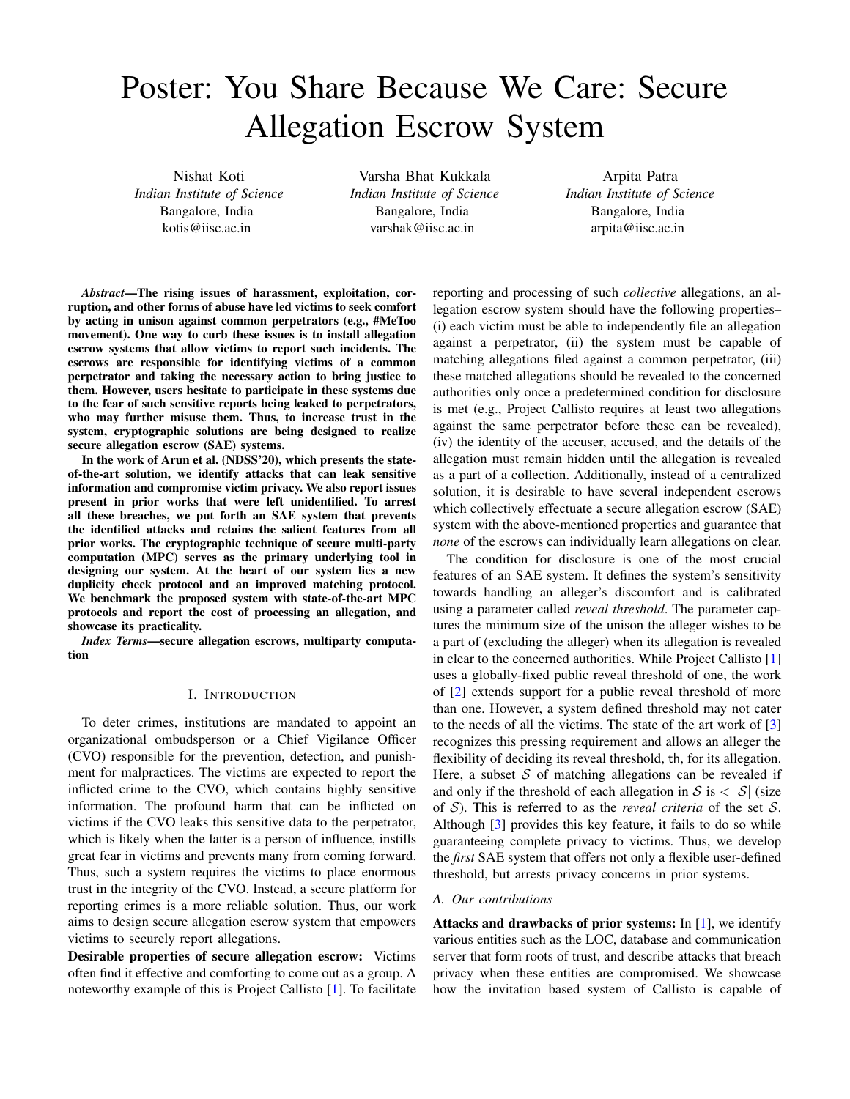# Poster: You Share Because We Care: Secure Allegation Escrow System

Nishat Koti *Indian Institute of Science* Bangalore, India kotis@iisc.ac.in

Varsha Bhat Kukkala *Indian Institute of Science* Bangalore, India varshak@iisc.ac.in

Arpita Patra *Indian Institute of Science* Bangalore, India arpita@iisc.ac.in

*Abstract*—The rising issues of harassment, exploitation, corruption, and other forms of abuse have led victims to seek comfort by acting in unison against common perpetrators (e.g., #MeToo movement). One way to curb these issues is to install allegation escrow systems that allow victims to report such incidents. The escrows are responsible for identifying victims of a common perpetrator and taking the necessary action to bring justice to them. However, users hesitate to participate in these systems due to the fear of such sensitive reports being leaked to perpetrators, who may further misuse them. Thus, to increase trust in the system, cryptographic solutions are being designed to realize secure allegation escrow (SAE) systems.

In the work of Arun et al. (NDSS'20), which presents the stateof-the-art solution, we identify attacks that can leak sensitive information and compromise victim privacy. We also report issues present in prior works that were left unidentified. To arrest all these breaches, we put forth an SAE system that prevents the identified attacks and retains the salient features from all prior works. The cryptographic technique of secure multi-party computation (MPC) serves as the primary underlying tool in designing our system. At the heart of our system lies a new duplicity check protocol and an improved matching protocol. We benchmark the proposed system with state-of-the-art MPC protocols and report the cost of processing an allegation, and showcase its practicality.

*Index Terms*—secure allegation escrows, multiparty computation

## I. INTRODUCTION

To deter crimes, institutions are mandated to appoint an organizational ombudsperson or a Chief Vigilance Officer (CVO) responsible for the prevention, detection, and punishment for malpractices. The victims are expected to report the inflicted crime to the CVO, which contains highly sensitive information. The profound harm that can be inflicted on victims if the CVO leaks this sensitive data to the perpetrator, which is likely when the latter is a person of influence, instills great fear in victims and prevents many from coming forward. Thus, such a system requires the victims to place enormous trust in the integrity of the CVO. Instead, a secure platform for reporting crimes is a more reliable solution. Thus, our work aims to design secure allegation escrow system that empowers victims to securely report allegations.

Desirable properties of secure allegation escrow: Victims often find it effective and comforting to come out as a group. A noteworthy example of this is Project Callisto [\[1\]](#page-1-0). To facilitate reporting and processing of such *collective* allegations, an allegation escrow system should have the following properties– (i) each victim must be able to independently file an allegation against a perpetrator, (ii) the system must be capable of matching allegations filed against a common perpetrator, (iii) these matched allegations should be revealed to the concerned authorities only once a predetermined condition for disclosure is met (e.g., Project Callisto requires at least two allegations against the same perpetrator before these can be revealed), (iv) the identity of the accuser, accused, and the details of the allegation must remain hidden until the allegation is revealed as a part of a collection. Additionally, instead of a centralized solution, it is desirable to have several independent escrows which collectively effectuate a secure allegation escrow (SAE) system with the above-mentioned properties and guarantee that *none* of the escrows can individually learn allegations on clear.

The condition for disclosure is one of the most crucial features of an SAE system. It defines the system's sensitivity towards handling an alleger's discomfort and is calibrated using a parameter called *reveal threshold*. The parameter captures the minimum size of the unison the alleger wishes to be a part of (excluding the alleger) when its allegation is revealed in clear to the concerned authorities. While Project Callisto [\[1\]](#page-1-0) uses a globally-fixed public reveal threshold of one, the work of [\[2\]](#page-1-1) extends support for a public reveal threshold of more than one. However, a system defined threshold may not cater to the needs of all the victims. The state of the art work of [\[3\]](#page-1-2) recognizes this pressing requirement and allows an alleger the flexibility of deciding its reveal threshold, th, for its allegation. Here, a subset  $S$  of matching allegations can be revealed if and only if the threshold of each allegation in  $S$  is  $\langle S |$  (size of S). This is referred to as the *reveal criteria* of the set S. Although [\[3\]](#page-1-2) provides this key feature, it fails to do so while guaranteeing complete privacy to victims. Thus, we develop the *first* SAE system that offers not only a flexible user-defined threshold, but arrests privacy concerns in prior systems.

### *A. Our contributions*

Attacks and drawbacks of prior systems: In  $[1]$ , we identify various entities such as the LOC, database and communication server that form roots of trust, and describe attacks that breach privacy when these entities are compromised. We showcase how the invitation based system of Callisto is capable of